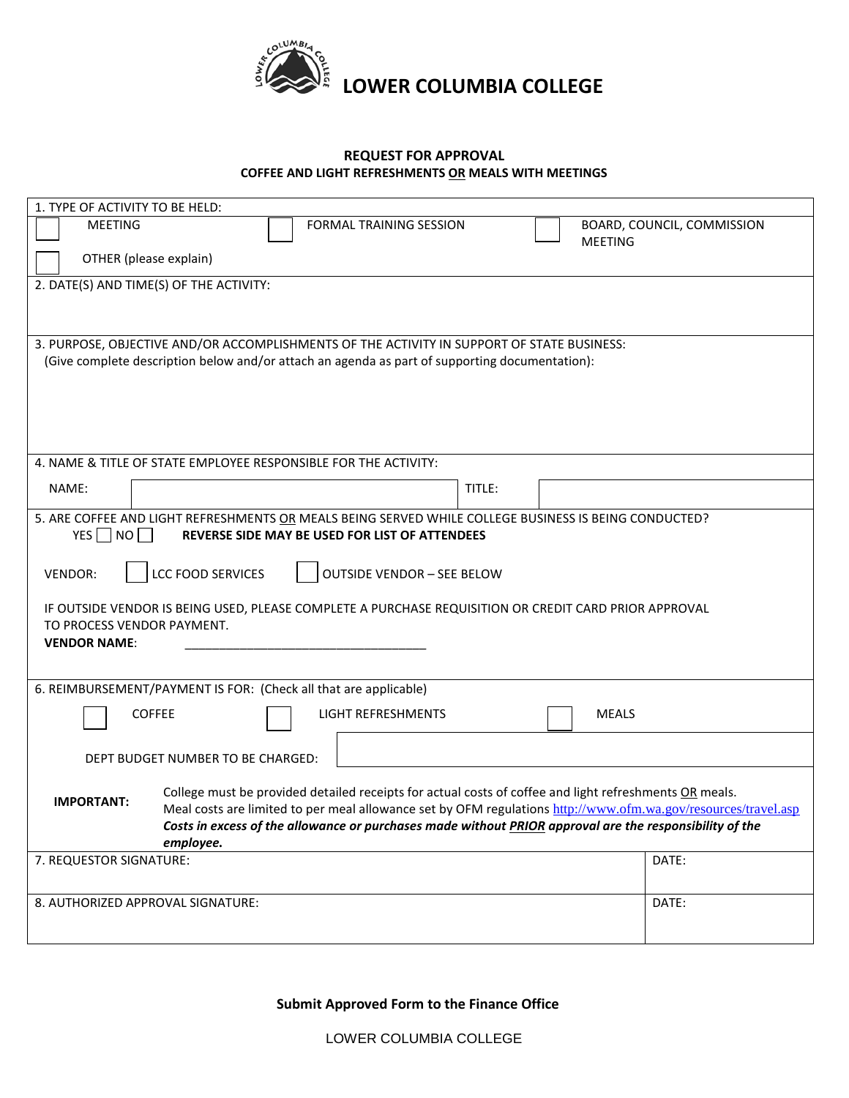

## **REQUEST FOR APPROVAL COFFEE AND LIGHT REFRESHMENTS OR MEALS WITH MEETINGS**

| 1. TYPE OF ACTIVITY TO BE HELD:                                                                                                                                                 |                           |                            |  |
|---------------------------------------------------------------------------------------------------------------------------------------------------------------------------------|---------------------------|----------------------------|--|
| <b>MEETING</b>                                                                                                                                                                  | FORMAL TRAINING SESSION   | BOARD, COUNCIL, COMMISSION |  |
|                                                                                                                                                                                 |                           | <b>MEETING</b>             |  |
| OTHER (please explain)                                                                                                                                                          |                           |                            |  |
| 2. DATE(S) AND TIME(S) OF THE ACTIVITY:                                                                                                                                         |                           |                            |  |
|                                                                                                                                                                                 |                           |                            |  |
|                                                                                                                                                                                 |                           |                            |  |
| 3. PURPOSE, OBJECTIVE AND/OR ACCOMPLISHMENTS OF THE ACTIVITY IN SUPPORT OF STATE BUSINESS:                                                                                      |                           |                            |  |
| (Give complete description below and/or attach an agenda as part of supporting documentation):                                                                                  |                           |                            |  |
|                                                                                                                                                                                 |                           |                            |  |
|                                                                                                                                                                                 |                           |                            |  |
|                                                                                                                                                                                 |                           |                            |  |
|                                                                                                                                                                                 |                           |                            |  |
| 4. NAME & TITLE OF STATE EMPLOYEE RESPONSIBLE FOR THE ACTIVITY:                                                                                                                 |                           |                            |  |
| NAME:                                                                                                                                                                           | TITLE:                    |                            |  |
|                                                                                                                                                                                 |                           |                            |  |
| 5. ARE COFFEE AND LIGHT REFRESHMENTS OR MEALS BEING SERVED WHILE COLLEGE BUSINESS IS BEING CONDUCTED?<br>YES $\neg$ NO $\neg$<br>REVERSE SIDE MAY BE USED FOR LIST OF ATTENDEES |                           |                            |  |
|                                                                                                                                                                                 |                           |                            |  |
| <b>LCC FOOD SERVICES</b><br><b>VENDOR:</b><br><b>OUTSIDE VENDOR - SEE BELOW</b>                                                                                                 |                           |                            |  |
|                                                                                                                                                                                 |                           |                            |  |
| IF OUTSIDE VENDOR IS BEING USED, PLEASE COMPLETE A PURCHASE REQUISITION OR CREDIT CARD PRIOR APPROVAL                                                                           |                           |                            |  |
| TO PROCESS VENDOR PAYMENT.                                                                                                                                                      |                           |                            |  |
| <b>VENDOR NAME:</b>                                                                                                                                                             |                           |                            |  |
|                                                                                                                                                                                 |                           |                            |  |
| 6. REIMBURSEMENT/PAYMENT IS FOR: (Check all that are applicable)                                                                                                                |                           |                            |  |
| <b>COFFEE</b>                                                                                                                                                                   | <b>LIGHT REFRESHMENTS</b> | <b>MEALS</b>               |  |
|                                                                                                                                                                                 |                           |                            |  |
|                                                                                                                                                                                 |                           |                            |  |
| DEPT BUDGET NUMBER TO BE CHARGED:                                                                                                                                               |                           |                            |  |
| College must be provided detailed receipts for actual costs of coffee and light refreshments OR meals.                                                                          |                           |                            |  |
| <b>IMPORTANT:</b><br>Meal costs are limited to per meal allowance set by OFM regulations http://www.ofm.wa.gov/resources/travel.asp                                             |                           |                            |  |
| Costs in excess of the allowance or purchases made without PRIOR approval are the responsibility of the                                                                         |                           |                            |  |
| employee.                                                                                                                                                                       |                           |                            |  |
| 7. REQUESTOR SIGNATURE:                                                                                                                                                         |                           | DATE:                      |  |
|                                                                                                                                                                                 |                           |                            |  |
| 8. AUTHORIZED APPROVAL SIGNATURE:                                                                                                                                               |                           | DATE:                      |  |
|                                                                                                                                                                                 |                           |                            |  |
|                                                                                                                                                                                 |                           |                            |  |

**Submit Approved Form to the Finance Office**